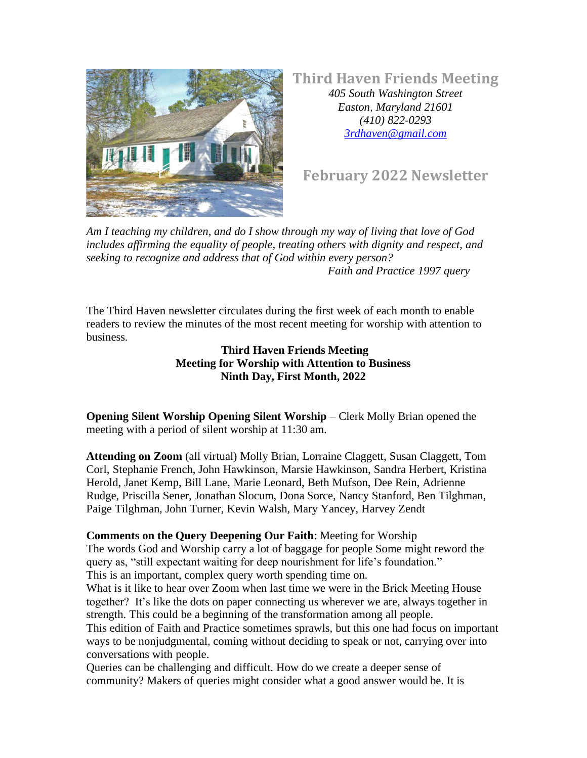

**Third Haven Friends Meeting**

*405 South Washington Street Easton, Maryland 21601 (410) 822-0293 [3rdhaven@gmail.com](mailto:Info@thirdhaven.org)*

**February 2022 Newsletter**

*Am I teaching my children, and do I show through my way of living that love of God includes affirming the equality of people, treating others with dignity and respect, and seeking to recognize and address that of God within every person? Faith and Practice 1997 query*

The Third Haven newsletter circulates during the first week of each month to enable readers to review the minutes of the most recent meeting for worship with attention to business.

> **Third Haven Friends Meeting Meeting for Worship with Attention to Business Ninth Day, First Month, 2022**

**Opening Silent Worship Opening Silent Worship** – Clerk Molly Brian opened the meeting with a period of silent worship at 11:30 am.

**Attending on Zoom** (all virtual) Molly Brian, Lorraine Claggett, Susan Claggett, Tom Corl, Stephanie French, John Hawkinson, Marsie Hawkinson, Sandra Herbert, Kristina Herold, Janet Kemp, Bill Lane, Marie Leonard, Beth Mufson, Dee Rein, Adrienne Rudge, Priscilla Sener, Jonathan Slocum, Dona Sorce, Nancy Stanford, Ben Tilghman, Paige Tilghman, John Turner, Kevin Walsh, Mary Yancey, Harvey Zendt

### **Comments on the Query Deepening Our Faith**: Meeting for Worship

The words God and Worship carry a lot of baggage for people Some might reword the query as, "still expectant waiting for deep nourishment for life's foundation." This is an important, complex query worth spending time on.

What is it like to hear over Zoom when last time we were in the Brick Meeting House together? It's like the dots on paper connecting us wherever we are, always together in strength. This could be a beginning of the transformation among all people.

This edition of Faith and Practice sometimes sprawls, but this one had focus on important ways to be nonjudgmental, coming without deciding to speak or not, carrying over into conversations with people.

Queries can be challenging and difficult. How do we create a deeper sense of community? Makers of queries might consider what a good answer would be. It is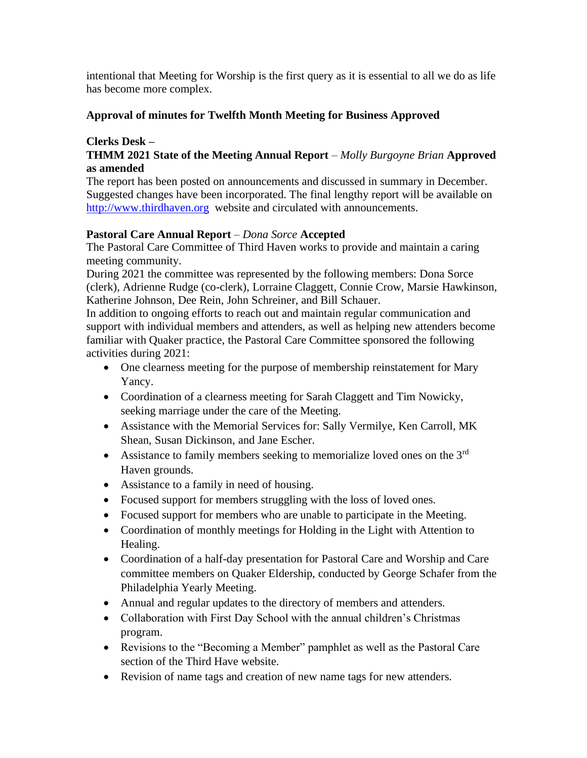intentional that Meeting for Worship is the first query as it is essential to all we do as life has become more complex.

### **Approval of minutes for Twelfth Month Meeting for Business Approved**

### **Clerks Desk –**

### **THMM 2021 State of the Meeting Annual Report** – *Molly Burgoyne Brian* **Approved as amended**

The report has been posted on announcements and discussed in summary in December. Suggested changes have been incorporated. The final lengthy report will be available on [http://www.thirdhaven.org](http://www.thirdhaven.org/) website and circulated with announcements.

### **Pastoral Care Annual Report** – *Dona Sorce* **Accepted**

The Pastoral Care Committee of Third Haven works to provide and maintain a caring meeting community.

During 2021 the committee was represented by the following members: Dona Sorce (clerk), Adrienne Rudge (co-clerk), Lorraine Claggett, Connie Crow, Marsie Hawkinson, Katherine Johnson, Dee Rein, John Schreiner, and Bill Schauer.

In addition to ongoing efforts to reach out and maintain regular communication and support with individual members and attenders, as well as helping new attenders become familiar with Quaker practice, the Pastoral Care Committee sponsored the following activities during 2021:

- One clearness meeting for the purpose of membership reinstatement for Mary Yancy.
- Coordination of a clearness meeting for Sarah Claggett and Tim Nowicky, seeking marriage under the care of the Meeting.
- Assistance with the Memorial Services for: Sally Vermilye, Ken Carroll, MK Shean, Susan Dickinson, and Jane Escher.
- Assistance to family members seeking to memorialize loved ones on the 3<sup>rd</sup> Haven grounds.
- Assistance to a family in need of housing.
- Focused support for members struggling with the loss of loved ones.
- Focused support for members who are unable to participate in the Meeting.
- Coordination of monthly meetings for Holding in the Light with Attention to Healing.
- Coordination of a half-day presentation for Pastoral Care and Worship and Care committee members on Quaker Eldership, conducted by George Schafer from the Philadelphia Yearly Meeting.
- Annual and regular updates to the directory of members and attenders.
- Collaboration with First Day School with the annual children's Christmas program.
- Revisions to the "Becoming a Member" pamphlet as well as the Pastoral Care section of the Third Have website.
- Revision of name tags and creation of new name tags for new attenders.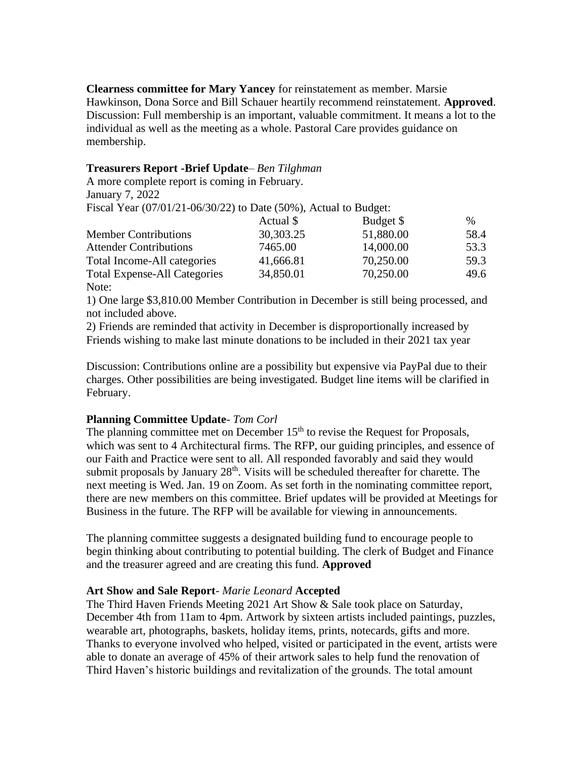**Clearness committee for Mary Yancey** for reinstatement as member. Marsie Hawkinson, Dona Sorce and Bill Schauer heartily recommend reinstatement. **Approved**. Discussion: Full membership is an important, valuable commitment. It means a lot to the individual as well as the meeting as a whole. Pastoral Care provides guidance on membership.

#### **Treasurers Report -Brief Update**– *Ben Tilghman*

A more complete report is coming in February. January 7, 2022

Fiscal Year (07/01/21-06/30/22) to Date (50%), Actual to Budget:

|                                     | Actual \$ | Budget \$ | $\%$ |
|-------------------------------------|-----------|-----------|------|
| <b>Member Contributions</b>         | 30,303.25 | 51,880.00 | 58.4 |
| <b>Attender Contributions</b>       | 7465.00   | 14,000.00 | 53.3 |
| Total Income-All categories         | 41,666.81 | 70,250.00 | 59.3 |
| <b>Total Expense-All Categories</b> | 34,850.01 | 70,250.00 | 49.6 |
| Note:                               |           |           |      |

1) One large \$3,810.00 Member Contribution in December is still being processed, and not included above.

2) Friends are reminded that activity in December is disproportionally increased by Friends wishing to make last minute donations to be included in their 2021 tax year

Discussion: Contributions online are a possibility but expensive via PayPal due to their charges. Other possibilities are being investigated. Budget line items will be clarified in February.

#### **Planning Committee Update**- *Tom Corl*

The planning committee met on December 15<sup>th</sup> to revise the Request for Proposals, which was sent to 4 Architectural firms. The RFP, our guiding principles, and essence of our Faith and Practice were sent to all. All responded favorably and said they would submit proposals by January  $28<sup>th</sup>$ . Visits will be scheduled thereafter for charette. The next meeting is Wed. Jan. 19 on Zoom. As set forth in the nominating committee report, there are new members on this committee. Brief updates will be provided at Meetings for Business in the future. The RFP will be available for viewing in announcements.

The planning committee suggests a designated building fund to encourage people to begin thinking about contributing to potential building. The clerk of Budget and Finance and the treasurer agreed and are creating this fund. **Approved**

#### **Art Show and Sale Report**- *Marie Leonard* **Accepted**

The Third Haven Friends Meeting 2021 Art Show & Sale took place on Saturday, December 4th from 11am to 4pm. Artwork by sixteen artists included paintings, puzzles, wearable art, photographs, baskets, holiday items, prints, notecards, gifts and more. Thanks to everyone involved who helped, visited or participated in the event, artists were able to donate an average of 45% of their artwork sales to help fund the renovation of Third Haven's historic buildings and revitalization of the grounds. The total amount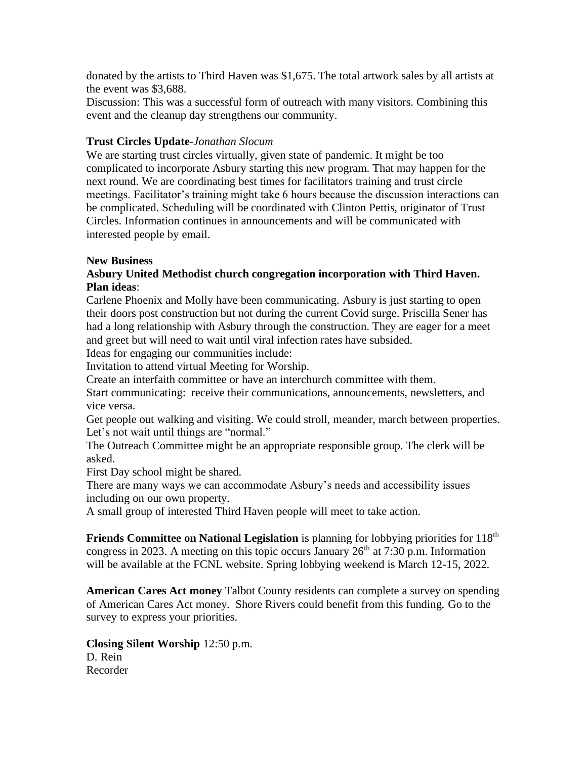donated by the artists to Third Haven was \$1,675. The total artwork sales by all artists at the event was \$3,688.

Discussion: This was a successful form of outreach with many visitors. Combining this event and the cleanup day strengthens our community.

#### **Trust Circles Update**-*Jonathan Slocum*

We are starting trust circles virtually, given state of pandemic. It might be too complicated to incorporate Asbury starting this new program. That may happen for the next round. We are coordinating best times for facilitators training and trust circle meetings. Facilitator's training might take 6 hours because the discussion interactions can be complicated. Scheduling will be coordinated with Clinton Pettis, originator of Trust Circles. Information continues in announcements and will be communicated with interested people by email.

#### **New Business**

#### **Asbury United Methodist church congregation incorporation with Third Haven. Plan ideas**:

Carlene Phoenix and Molly have been communicating. Asbury is just starting to open their doors post construction but not during the current Covid surge. Priscilla Sener has had a long relationship with Asbury through the construction. They are eager for a meet and greet but will need to wait until viral infection rates have subsided.

Ideas for engaging our communities include:

Invitation to attend virtual Meeting for Worship.

Create an interfaith committee or have an interchurch committee with them.

Start communicating: receive their communications, announcements, newsletters, and vice versa.

Get people out walking and visiting. We could stroll, meander, march between properties. Let's not wait until things are "normal."

The Outreach Committee might be an appropriate responsible group. The clerk will be asked.

First Day school might be shared.

There are many ways we can accommodate Asbury's needs and accessibility issues including on our own property.

A small group of interested Third Haven people will meet to take action.

**Friends Committee on National Legislation** is planning for lobbying priorities for 118<sup>th</sup> congress in 2023. A meeting on this topic occurs January  $26<sup>th</sup>$  at 7:30 p.m. Information will be available at the FCNL website. Spring lobbying weekend is March 12-15, 2022.

**American Cares Act money** Talbot County residents can complete a survey on spending of American Cares Act money. Shore Rivers could benefit from this funding. Go to the survey to express your priorities.

**Closing Silent Worship** 12:50 p.m. D. Rein Recorder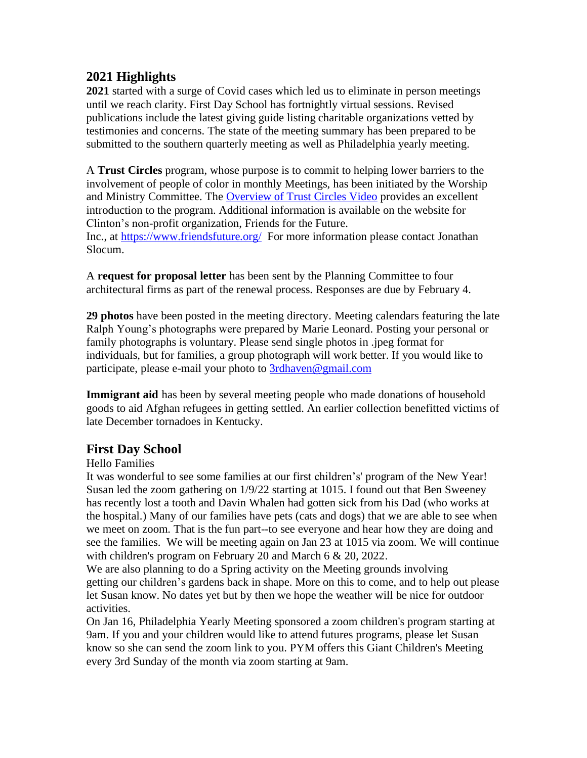# **2021 Highlights**

**2021** started with a surge of Covid cases which led us to eliminate in person meetings until we reach clarity. First Day School has fortnightly virtual sessions. Revised publications include the latest giving guide listing charitable organizations vetted by testimonies and concerns. The state of the meeting summary has been prepared to be submitted to the southern quarterly meeting as well as Philadelphia yearly meeting.

A **Trust Circles** program, whose purpose is to commit to helping lower barriers to the involvement of people of color in monthly Meetings, has been initiated by the Worship and Ministry Committee. The [Overview of Trust Circles Video](https://youtu.be/0p-uAs_UKrk) provides an excellent introduction to the program. Additional information is available on the website for Clinton's non-profit organization, Friends for the Future.

Inc., at <https://www.friendsfuture.org/> For more information please contact Jonathan Slocum.

A **request for proposal letter** has been sent by the Planning Committee to four architectural firms as part of the renewal process. Responses are due by February 4.

**29 photos** have been posted in the meeting directory. Meeting calendars featuring the late Ralph Young's photographs were prepared by Marie Leonard. Posting your personal or family photographs is voluntary. Please send single photos in .jpeg format for individuals, but for families, a group photograph will work better. If you would like to participate, please e-mail your photo to [3rdhaven@gmail.com](mailto:3rdhaven@gmail.com)

**Immigrant aid** has been by several meeting people who made donations of household goods to aid Afghan refugees in getting settled. An earlier collection benefitted victims of late December tornadoes in Kentucky.

# **First Day School**

### Hello Families

It was wonderful to see some families at our first children's' program of the New Year! Susan led the zoom gathering on 1/9/22 starting at 1015. I found out that Ben Sweeney has recently lost a tooth and Davin Whalen had gotten sick from his Dad (who works at the hospital.) Many of our families have pets (cats and dogs) that we are able to see when we meet on zoom. That is the fun part--to see everyone and hear how they are doing and see the families. We will be meeting again on Jan 23 at 1015 via zoom. We will continue with children's program on February 20 and March 6 & 20, 2022.

We are also planning to do a Spring activity on the Meeting grounds involving getting our children's gardens back in shape. More on this to come, and to help out please let Susan know. No dates yet but by then we hope the weather will be nice for outdoor activities.

On Jan 16, Philadelphia Yearly Meeting sponsored a zoom children's program starting at 9am. If you and your children would like to attend futures programs, please let Susan know so she can send the zoom link to you. PYM offers this Giant Children's Meeting every 3rd Sunday of the month via zoom starting at 9am.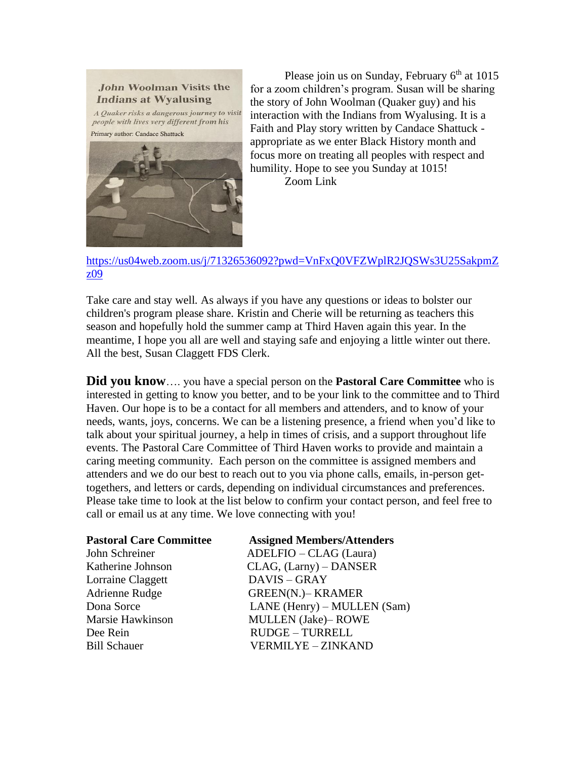

A Quaker risks a dangerous journey to visit people with lives very different from his Primary author: Candace Shattuck



Please join us on Sunday, February  $6<sup>th</sup>$  at 1015 for a zoom children's program. Susan will be sharing the story of John Woolman (Quaker guy) and his interaction with the Indians from Wyalusing. It is a Faith and Play story written by Candace Shattuck appropriate as we enter Black History month and focus more on treating all peoples with respect and humility. Hope to see you Sunday at 1015! Zoom Link

[https://us04web.zoom.us/j/71326536092?pwd=VnFxQ0VFZWplR2JQSWs3U25SakpmZ](https://us04web.zoom.us/j/71326536092?pwd=VnFxQ0VFZWplR2JQSWs3U25SakpmZz09) [z09](https://us04web.zoom.us/j/71326536092?pwd=VnFxQ0VFZWplR2JQSWs3U25SakpmZz09)

Take care and stay well. As always if you have any questions or ideas to bolster our children's program please share. Kristin and Cherie will be returning as teachers this season and hopefully hold the summer camp at Third Haven again this year. In the meantime, I hope you all are well and staying safe and enjoying a little winter out there. All the best, Susan Claggett FDS Clerk.

**Did you know**…. you have a special person on the **Pastoral Care Committee** who is interested in getting to know you better, and to be your link to the committee and to Third Haven. Our hope is to be a contact for all members and attenders, and to know of your needs, wants, joys, concerns. We can be a listening presence, a friend when you'd like to talk about your spiritual journey, a help in times of crisis, and a support throughout life events. The Pastoral Care Committee of Third Haven works to provide and maintain a caring meeting community. Each person on the committee is assigned members and attenders and we do our best to reach out to you via phone calls, emails, in-person gettogethers, and letters or cards, depending on individual circumstances and preferences. Please take time to look at the list below to confirm your contact person, and feel free to call or email us at any time. We love connecting with you!

| <b>Pastoral Care Committee</b> | <b>Assigned Members/Attenders</b> |
|--------------------------------|-----------------------------------|
| John Schreiner                 | ADELFIO - CLAG (Laura)            |
| Katherine Johnson              | CLAG, (Larny) – DANSER            |
| Lorraine Claggett              | DAVIS - GRAY                      |
| Adrienne Rudge                 | <b>GREEN(N.)– KRAMER</b>          |
| Dona Sorce                     | LANE (Henry) - MULLEN (Sam)       |
| Marsie Hawkinson               | <b>MULLEN</b> (Jake)-ROWE         |
| Dee Rein                       | <b>RUDGE - TURRELL</b>            |
| <b>Bill Schauer</b>            | VERMILYE - ZINKAND                |
|                                |                                   |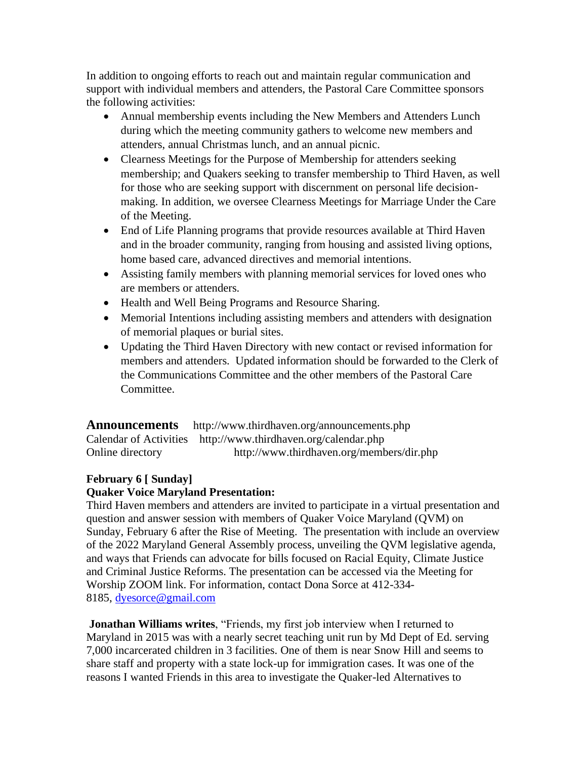In addition to ongoing efforts to reach out and maintain regular communication and support with individual members and attenders, the Pastoral Care Committee sponsors the following activities:

- Annual membership events including the New Members and Attenders Lunch during which the meeting community gathers to welcome new members and attenders, annual Christmas lunch, and an annual picnic.
- Clearness Meetings for the Purpose of Membership for attenders seeking membership; and Quakers seeking to transfer membership to Third Haven, as well for those who are seeking support with discernment on personal life decisionmaking. In addition, we oversee Clearness Meetings for Marriage Under the Care of the Meeting.
- End of Life Planning programs that provide resources available at Third Haven and in the broader community, ranging from housing and assisted living options, home based care, advanced directives and memorial intentions.
- Assisting family members with planning memorial services for loved ones who are members or attenders.
- Health and Well Being Programs and Resource Sharing.
- Memorial Intentions including assisting members and attenders with designation of memorial plaques or burial sites.
- Updating the Third Haven Directory with new contact or revised information for members and attenders. Updated information should be forwarded to the Clerk of the Communications Committee and the other members of the Pastoral Care Committee.

**Announcements** <http://www.thirdhaven.org/announcements.php> Calendar of Activities <http://www.thirdhaven.org/calendar.php> Online directory <http://www.thirdhaven.org/members/dir.php>

# **February 6 [ Sunday]**

# **Quaker Voice Maryland Presentation:**

Third Haven members and attenders are invited to participate in a virtual presentation and question and answer session with members of Quaker Voice Maryland (QVM) on Sunday, February 6 after the Rise of Meeting. The presentation with include an overview of the 2022 Maryland General Assembly process, unveiling the QVM legislative agenda, and ways that Friends can advocate for bills focused on Racial Equity, Climate Justice and Criminal Justice Reforms. The presentation can be accessed via the Meeting for Worship ZOOM link. For information, contact Dona Sorce at 412-334- 8185, [dyesorce@gmail.com](mailto:dyesorce@gmail.com)

**Jonathan Williams writes**, "Friends, my first job interview when I returned to Maryland in 2015 was with a nearly secret teaching unit run by Md Dept of Ed. serving 7,000 incarcerated children in 3 facilities. One of them is near Snow Hill and seems to share staff and property with a state lock-up for immigration cases. It was one of the reasons I wanted Friends in this area to investigate the Quaker-led Alternatives to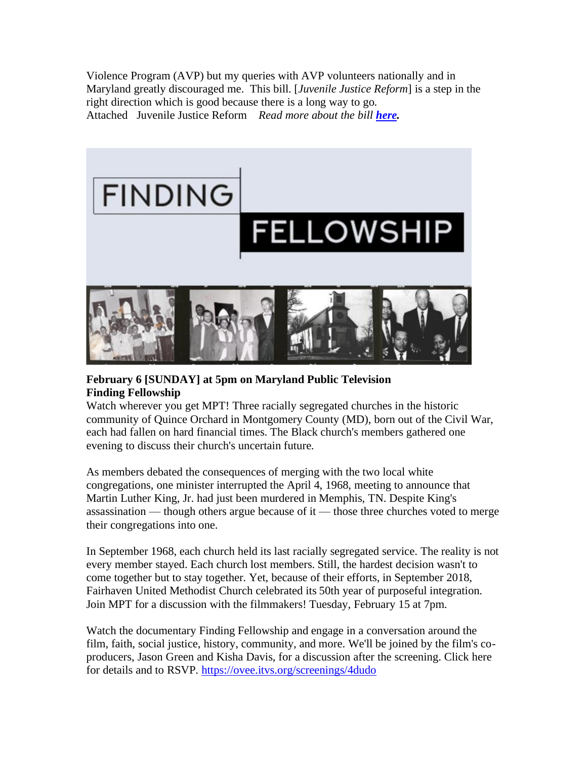Violence Program (AVP) but my queries with AVP volunteers nationally and in Maryland greatly discouraged me. This bill. [*Juvenile Justice Reform*] is a step in the right direction which is good because there is a long way to go. Attached Juvenile Justice Reform *Read more about the bill [here.](https://strongfuturemd.org/wp-content/uploads/2022/01/MYJC-End-Automatic-Charging-One-Pager-2.pdf)*



## **February 6 [SUNDAY] at 5pm on Maryland Public Television Finding Fellowship**

Watch wherever you get MPT! Three racially segregated churches in the historic community of Quince Orchard in Montgomery County (MD), born out of the Civil War, each had fallen on hard financial times. The Black church's members gathered one evening to discuss their church's uncertain future.

As members debated the consequences of merging with the two local white congregations, one minister interrupted the April 4, 1968, meeting to announce that Martin Luther King, Jr. had just been murdered in Memphis, TN. Despite King's assassination — though others argue because of it — those three churches voted to merge their congregations into one.

In September 1968, each church held its last racially segregated service. The reality is not every member stayed. Each church lost members. Still, the hardest decision wasn't to come together but to stay together. Yet, because of their efforts, in September 2018, Fairhaven United Methodist Church celebrated its 50th year of purposeful integration. Join MPT for a discussion with the filmmakers! Tuesday, February 15 at 7pm.

Watch the documentary Finding Fellowship and engage in a conversation around the film, faith, social justice, history, community, and more. We'll be joined by the film's coproducers, Jason Green and Kisha Davis, for a discussion after the screening. Click here for details and to RSVP. <https://ovee.itvs.org/screenings/4dudo>